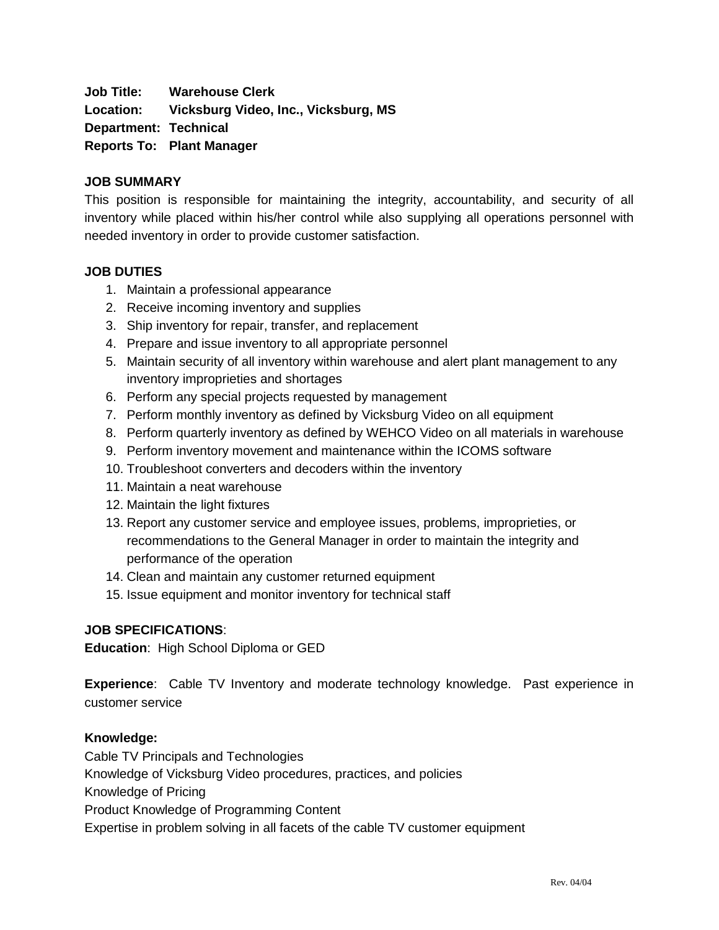**Job Title: Warehouse Clerk**

**Location: Vicksburg Video, Inc., Vicksburg, MS**

**Department: Technical**

**Reports To: Plant Manager**

#### **JOB SUMMARY**

This position is responsible for maintaining the integrity, accountability, and security of all inventory while placed within his/her control while also supplying all operations personnel with needed inventory in order to provide customer satisfaction.

#### **JOB DUTIES**

- 1. Maintain a professional appearance
- 2. Receive incoming inventory and supplies
- 3. Ship inventory for repair, transfer, and replacement
- 4. Prepare and issue inventory to all appropriate personnel
- 5. Maintain security of all inventory within warehouse and alert plant management to any inventory improprieties and shortages
- 6. Perform any special projects requested by management
- 7. Perform monthly inventory as defined by Vicksburg Video on all equipment
- 8. Perform quarterly inventory as defined by WEHCO Video on all materials in warehouse
- 9. Perform inventory movement and maintenance within the ICOMS software
- 10. Troubleshoot converters and decoders within the inventory
- 11. Maintain a neat warehouse
- 12. Maintain the light fixtures
- 13. Report any customer service and employee issues, problems, improprieties, or recommendations to the General Manager in order to maintain the integrity and performance of the operation
- 14. Clean and maintain any customer returned equipment
- 15. Issue equipment and monitor inventory for technical staff

### **JOB SPECIFICATIONS**:

**Education**: High School Diploma or GED

**Experience**: Cable TV Inventory and moderate technology knowledge. Past experience in customer service

### **Knowledge:**

Cable TV Principals and Technologies Knowledge of Vicksburg Video procedures, practices, and policies Knowledge of Pricing Product Knowledge of Programming Content Expertise in problem solving in all facets of the cable TV customer equipment